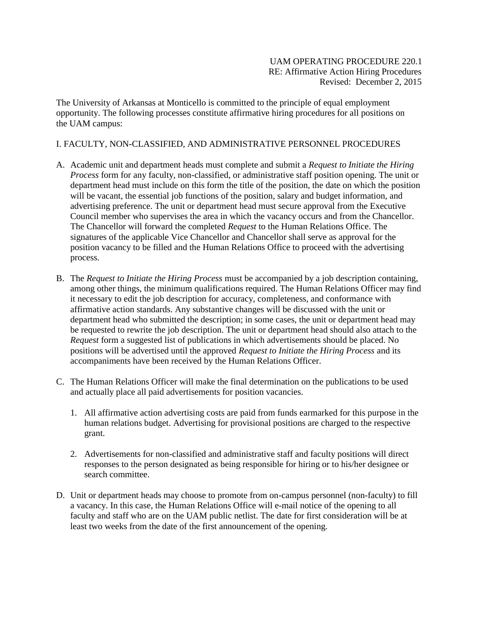## UAM OPERATING PROCEDURE 220.1 RE: Affirmative Action Hiring Procedures Revised: December 2, 2015

The University of Arkansas at Monticello is committed to the principle of equal employment opportunity. The following processes constitute affirmative hiring procedures for all positions on the UAM campus:

## I. FACULTY, NON-CLASSIFIED, AND ADMINISTRATIVE PERSONNEL PROCEDURES

- A. Academic unit and department heads must complete and submit a *Request to Initiate the Hiring Process* form for any faculty, non-classified, or administrative staff position opening. The unit or department head must include on this form the title of the position, the date on which the position will be vacant, the essential job functions of the position, salary and budget information, and advertising preference. The unit or department head must secure approval from the Executive Council member who supervises the area in which the vacancy occurs and from the Chancellor. The Chancellor will forward the completed *Request* to the Human Relations Office. The signatures of the applicable Vice Chancellor and Chancellor shall serve as approval for the position vacancy to be filled and the Human Relations Office to proceed with the advertising process.
- B. The *Request to Initiate the Hiring Process* must be accompanied by a job description containing, among other things, the minimum qualifications required. The Human Relations Officer may find it necessary to edit the job description for accuracy, completeness, and conformance with affirmative action standards. Any substantive changes will be discussed with the unit or department head who submitted the description; in some cases, the unit or department head may be requested to rewrite the job description. The unit or department head should also attach to the *Request* form a suggested list of publications in which advertisements should be placed. No positions will be advertised until the approved *Request to Initiate the Hiring Process* and its accompaniments have been received by the Human Relations Officer.
- C. The Human Relations Officer will make the final determination on the publications to be used and actually place all paid advertisements for position vacancies.
	- 1. All affirmative action advertising costs are paid from funds earmarked for this purpose in the human relations budget. Advertising for provisional positions are charged to the respective grant.
	- 2. Advertisements for non-classified and administrative staff and faculty positions will direct responses to the person designated as being responsible for hiring or to his/her designee or search committee.
- D. Unit or department heads may choose to promote from on-campus personnel (non-faculty) to fill a vacancy. In this case, the Human Relations Office will e-mail notice of the opening to all faculty and staff who are on the UAM public netlist. The date for first consideration will be at least two weeks from the date of the first announcement of the opening.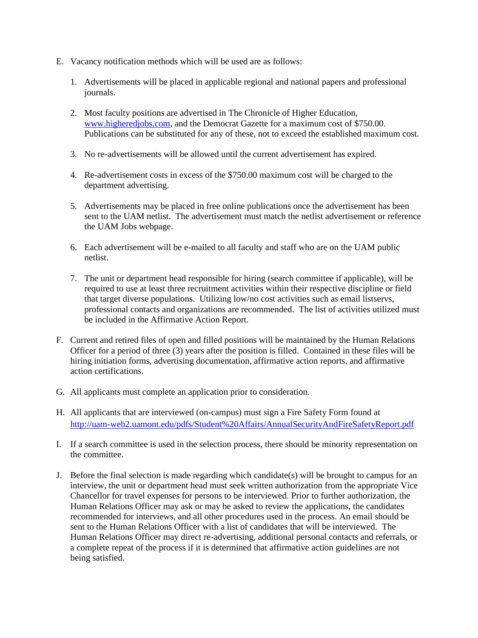- E. Vacancy notification methods which will be used are as follows:
	- 1. Advertisements will be placed in applicable regional and national papers and professional journals.
	- 2. Most faculty positions are advertised in The Chronicle of Higher Education, [www.higheredjobs.com,](http://www.higheredjobs.com/) and the Democrat Gazette for a maximum cost of \$750.00. Publications can be substituted for any of these, not to exceed the established maximum cost.
	- 3. No re-advertisements will be allowed until the current advertisement has expired.
	- 4. Re-advertisement costs in excess of the \$750.00 maximum cost will be charged to the department advertising.
	- 5. Advertisements may be placed in free online publications once the advertisement has been sent to the UAM netlist. The advertisement must match the netlist advertisement or reference the UAM Jobs webpage.
	- 6. Each advertisement will be e-mailed to all faculty and staff who are on the UAM public netlist.
	- 7. The unit or department head responsible for hiring (search committee if applicable), will be required to use at least three recruitment activities within their respective discipline or field that target diverse populations. Utilizing low/no cost activities such as email listservs, professional contacts and organizations are recommended. The list of activities utilized must be included in the Affirmative Action Report.
- F. Current and retired files of open and filled positions will be maintained by the Human Relations Officer for a period of three (3) years after the position is filled. Contained in these files will be hiring initiation forms, advertising documentation, affirmative action reports, and affirmative action certifications.
- G. All applicants must complete an application prior to consideration.
- H. All applicants that are interviewed (on-campus) must sign a Fire Safety Form found at <http://uam-web2.uamont.edu/pdfs/Student%20Affairs/AnnualSecurityAndFireSafetyReport.pdf>
- I. If a search committee is used in the selection process, there should be minority representation on the committee.
- J. Before the final selection is made regarding which candidate(s) will be brought to campus for an interview, the unit or department head must seek written authorization from the appropriate Vice Chancellor for travel expenses for persons to be interviewed. Prior to further authorization, the Human Relations Officer may ask or may be asked to review the applications, the candidates recommended for interviews, and all other procedures used in the process. An email should be sent to the Human Relations Officer with a list of candidates that will be interviewed. The Human Relations Officer may direct re-advertising, additional personal contacts and referrals, or a complete repeat of the process if it is determined that affirmative action guidelines are not being satisfied.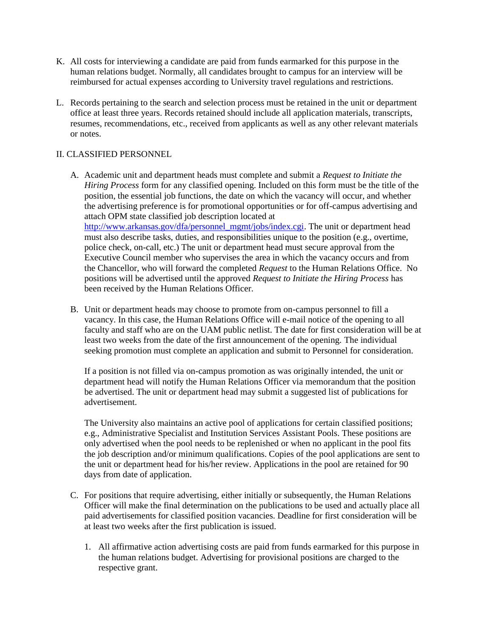- K. All costs for interviewing a candidate are paid from funds earmarked for this purpose in the human relations budget. Normally, all candidates brought to campus for an interview will be reimbursed for actual expenses according to University travel regulations and restrictions.
- L. Records pertaining to the search and selection process must be retained in the unit or department office at least three years. Records retained should include all application materials, transcripts, resumes, recommendations, etc., received from applicants as well as any other relevant materials or notes.

## II. CLASSIFIED PERSONNEL

- A. Academic unit and department heads must complete and submit a *Request to Initiate the Hiring Process* form for any classified opening. Included on this form must be the title of the position, the essential job functions, the date on which the vacancy will occur, and whether the advertising preference is for promotional opportunities or for off-campus advertising and attach OPM state classified job description located at [http://www.arkansas.gov/dfa/personnel\\_mgmt/jobs/index.cgi.](http://www.arkansas.gov/dfa/personnel_mgmt/jobs/index.cgi) The unit or department head must also describe tasks, duties, and responsibilities unique to the position (e.g., overtime, police check, on-call, etc.) The unit or department head must secure approval from the Executive Council member who supervises the area in which the vacancy occurs and from the Chancellor, who will forward the completed *Request* to the Human Relations Office. No positions will be advertised until the approved *Request to Initiate the Hiring Process* has been received by the Human Relations Officer.
- B. Unit or department heads may choose to promote from on-campus personnel to fill a vacancy. In this case, the Human Relations Office will e-mail notice of the opening to all faculty and staff who are on the UAM public netlist. The date for first consideration will be at least two weeks from the date of the first announcement of the opening. The individual seeking promotion must complete an application and submit to Personnel for consideration.

If a position is not filled via on-campus promotion as was originally intended, the unit or department head will notify the Human Relations Officer via memorandum that the position be advertised. The unit or department head may submit a suggested list of publications for advertisement.

The University also maintains an active pool of applications for certain classified positions; e.g., Administrative Specialist and Institution Services Assistant Pools. These positions are only advertised when the pool needs to be replenished or when no applicant in the pool fits the job description and/or minimum qualifications. Copies of the pool applications are sent to the unit or department head for his/her review. Applications in the pool are retained for 90 days from date of application.

- C. For positions that require advertising, either initially or subsequently, the Human Relations Officer will make the final determination on the publications to be used and actually place all paid advertisements for classified position vacancies. Deadline for first consideration will be at least two weeks after the first publication is issued.
	- 1. All affirmative action advertising costs are paid from funds earmarked for this purpose in the human relations budget. Advertising for provisional positions are charged to the respective grant.